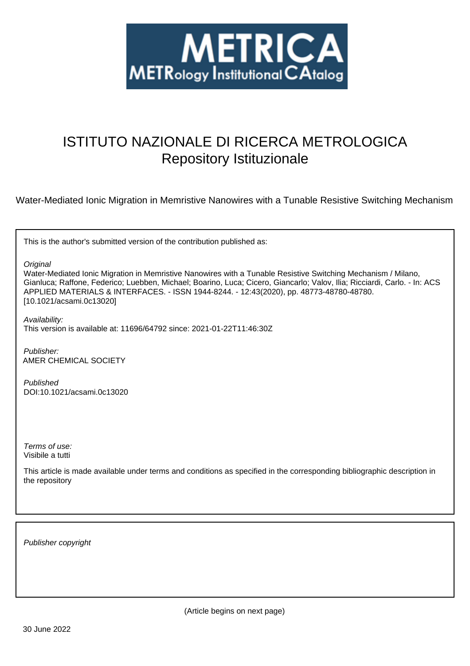

# ISTITUTO NAZIONALE DI RICERCA METROLOGICA Repository Istituzionale

Water-Mediated Ionic Migration in Memristive Nanowires with a Tunable Resistive Switching Mechanism

This is the author's submitted version of the contribution published as:

**Original** 

Water-Mediated Ionic Migration in Memristive Nanowires with a Tunable Resistive Switching Mechanism / Milano, Gianluca; Raffone, Federico; Luebben, Michael; Boarino, Luca; Cicero, Giancarlo; Valov, Ilia; Ricciardi, Carlo. - In: ACS APPLIED MATERIALS & INTERFACES. - ISSN 1944-8244. - 12:43(2020), pp. 48773-48780-48780. [10.1021/acsami.0c13020]

Availability: This version is available at: 11696/64792 since: 2021-01-22T11:46:30Z

Publisher: AMER CHEMICAL SOCIETY

Published DOI:10.1021/acsami.0c13020

Terms of use: Visibile a tutti

This article is made available under terms and conditions as specified in the corresponding bibliographic description in the repository

Publisher copyright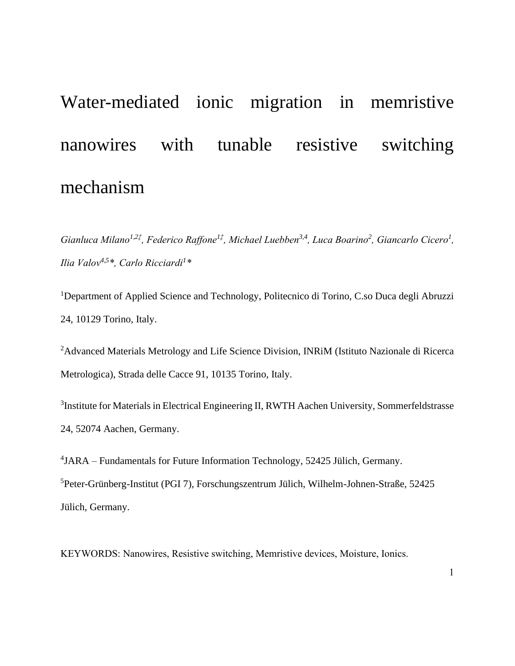# Water-mediated ionic migration in memristive nanowires with tunable resistive switching mechanism

*Gianluca Milano<sup>1,2‡</sup>, Federico Raffone<sup>1‡</sup>, Michael Luebben<sup>3,4</sup>, Luca Boarino<sup>2</sup>, Giancarlo Cicero<sup>1</sup>, Ilia Valov4,5\*, Carlo Ricciardi<sup>1</sup> \**

<sup>1</sup>Department of Applied Science and Technology, Politecnico di Torino, C.so Duca degli Abruzzi 24, 10129 Torino, Italy.

<sup>2</sup>Advanced Materials Metrology and Life Science Division, INRiM (Istituto Nazionale di Ricerca Metrologica), Strada delle Cacce 91, 10135 Torino, Italy.

<sup>3</sup>Institute for Materials in Electrical Engineering II, RWTH Aachen University, Sommerfeldstrasse 24, 52074 Aachen, Germany.

4 JARA – Fundamentals for Future Information Technology, 52425 Jülich, Germany. <sup>5</sup>Peter-Grünberg-Institut (PGI 7), Forschungszentrum Jülich, Wilhelm-Johnen-Straße, 52425 Jülich, Germany.

KEYWORDS: Nanowires, Resistive switching, Memristive devices, Moisture, Ionics.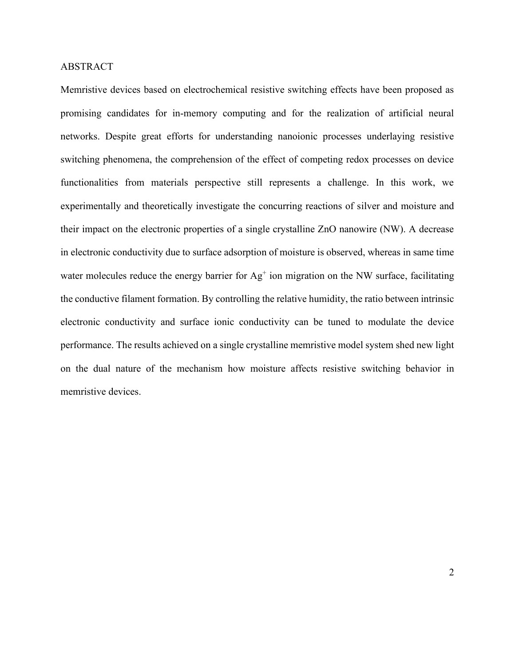#### ABSTRACT

Memristive devices based on electrochemical resistive switching effects have been proposed as promising candidates for in-memory computing and for the realization of artificial neural networks. Despite great efforts for understanding nanoionic processes underlaying resistive switching phenomena, the comprehension of the effect of competing redox processes on device functionalities from materials perspective still represents a challenge. In this work, we experimentally and theoretically investigate the concurring reactions of silver and moisture and their impact on the electronic properties of a single crystalline ZnO nanowire (NW). A decrease in electronic conductivity due to surface adsorption of moisture is observed, whereas in same time water molecules reduce the energy barrier for  $Ag<sup>+</sup>$  ion migration on the NW surface, facilitating the conductive filament formation. By controlling the relative humidity, the ratio between intrinsic electronic conductivity and surface ionic conductivity can be tuned to modulate the device performance. The results achieved on a single crystalline memristive model system shed new light on the dual nature of the mechanism how moisture affects resistive switching behavior in memristive devices.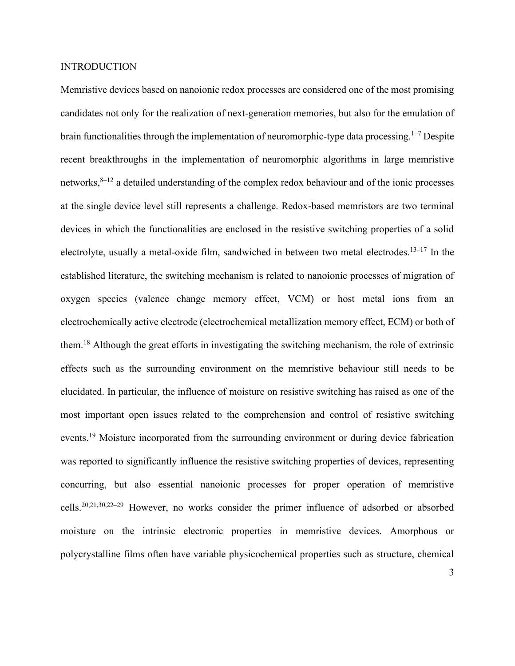#### INTRODUCTION

Memristive devices based on nanoionic redox processes are considered one of the most promising candidates not only for the realization of next-generation memories, but also for the emulation of brain functionalities through the implementation of neuromorphic-type data processing.<sup>1–7</sup> Despite recent breakthroughs in the implementation of neuromorphic algorithms in large memristive networks, $8-12$  a detailed understanding of the complex redox behaviour and of the ionic processes at the single device level still represents a challenge. Redox-based memristors are two terminal devices in which the functionalities are enclosed in the resistive switching properties of a solid electrolyte, usually a metal-oxide film, sandwiched in between two metal electrodes.<sup>13-17</sup> In the established literature, the switching mechanism is related to nanoionic processes of migration of oxygen species (valence change memory effect, VCM) or host metal ions from an electrochemically active electrode (electrochemical metallization memory effect, ECM) or both of them.<sup>18</sup> Although the great efforts in investigating the switching mechanism, the role of extrinsic effects such as the surrounding environment on the memristive behaviour still needs to be elucidated. In particular, the influence of moisture on resistive switching has raised as one of the most important open issues related to the comprehension and control of resistive switching events.<sup>19</sup> Moisture incorporated from the surrounding environment or during device fabrication was reported to significantly influence the resistive switching properties of devices, representing concurring, but also essential nanoionic processes for proper operation of memristive cells.20,21,30,22–<sup>29</sup> However, no works consider the primer influence of adsorbed or absorbed moisture on the intrinsic electronic properties in memristive devices. Amorphous or polycrystalline films often have variable physicochemical properties such as structure, chemical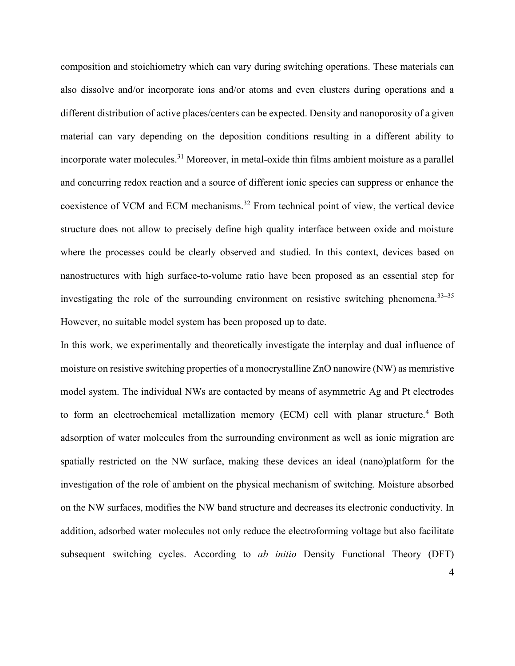composition and stoichiometry which can vary during switching operations. These materials can also dissolve and/or incorporate ions and/or atoms and even clusters during operations and a different distribution of active places/centers can be expected. Density and nanoporosity of a given material can vary depending on the deposition conditions resulting in a different ability to incorporate water molecules.<sup>31</sup> Moreover, in metal-oxide thin films ambient moisture as a parallel and concurring redox reaction and a source of different ionic species can suppress or enhance the coexistence of VCM and ECM mechanisms.<sup>32</sup> From technical point of view, the vertical device structure does not allow to precisely define high quality interface between oxide and moisture where the processes could be clearly observed and studied. In this context, devices based on nanostructures with high surface-to-volume ratio have been proposed as an essential step for investigating the role of the surrounding environment on resistive switching phenomena.<sup>33–35</sup> However, no suitable model system has been proposed up to date.

In this work, we experimentally and theoretically investigate the interplay and dual influence of moisture on resistive switching properties of a monocrystalline ZnO nanowire (NW) as memristive model system. The individual NWs are contacted by means of asymmetric Ag and Pt electrodes to form an electrochemical metallization memory (ECM) cell with planar structure.<sup>4</sup> Both adsorption of water molecules from the surrounding environment as well as ionic migration are spatially restricted on the NW surface, making these devices an ideal (nano)platform for the investigation of the role of ambient on the physical mechanism of switching. Moisture absorbed on the NW surfaces, modifies the NW band structure and decreases its electronic conductivity. In addition, adsorbed water molecules not only reduce the electroforming voltage but also facilitate subsequent switching cycles. According to *ab initio* Density Functional Theory (DFT)

4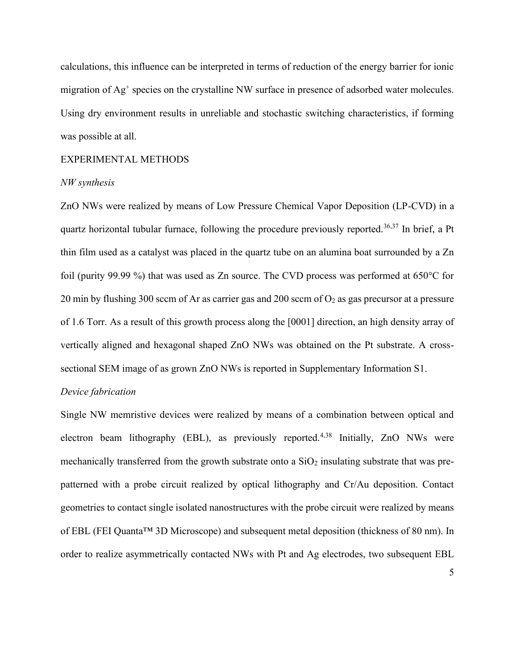calculations, this influence can be interpreted in terms of reduction of the energy barrier for ionic migration of Ag<sup>+</sup> species on the crystalline NW surface in presence of adsorbed water molecules. Using dry environment results in unreliable and stochastic switching characteristics, if forming was possible at all.

#### EXPERIMENTAL METHODS

#### *NW synthesis*

ZnO NWs were realized by means of Low Pressure Chemical Vapor Deposition (LP-CVD) in a quartz horizontal tubular furnace, following the procedure previously reported.<sup>36,37</sup> In brief, a Pt thin film used as a catalyst was placed in the quartz tube on an alumina boat surrounded by a Zn foil (purity 99.99 %) that was used as Zn source. The CVD process was performed at 650°C for 20 min by flushing 300 sccm of Ar as carrier gas and 200 sccm of  $O_2$  as gas precursor at a pressure of 1.6 Torr. As a result of this growth process along the [0001] direction, an high density array of vertically aligned and hexagonal shaped ZnO NWs was obtained on the Pt substrate. A crosssectional SEM image of as grown ZnO NWs is reported in Supplementary Information S1.

#### *Device fabrication*

Single NW memristive devices were realized by means of a combination between optical and electron beam lithography (EBL), as previously reported.<sup>4,38</sup> Initially, ZnO NWs were mechanically transferred from the growth substrate onto a  $SiO<sub>2</sub>$  insulating substrate that was prepatterned with a probe circuit realized by optical lithography and Cr/Au deposition. Contact geometries to contact single isolated nanostructures with the probe circuit were realized by means of EBL (FEI Quanta™ 3D Microscope) and subsequent metal deposition (thickness of 80 nm). In order to realize asymmetrically contacted NWs with Pt and Ag electrodes, two subsequent EBL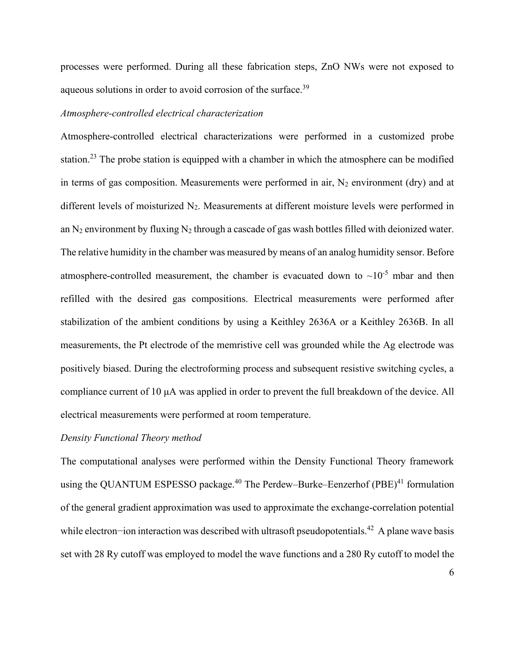processes were performed. During all these fabrication steps, ZnO NWs were not exposed to aqueous solutions in order to avoid corrosion of the surface.<sup>39</sup>

#### *Atmosphere-controlled electrical characterization*

Atmosphere-controlled electrical characterizations were performed in a customized probe station.<sup>23</sup> The probe station is equipped with a chamber in which the atmosphere can be modified in terms of gas composition. Measurements were performed in air,  $N_2$  environment (dry) and at different levels of moisturized N<sub>2</sub>. Measurements at different moisture levels were performed in an N<sub>2</sub> environment by fluxing N<sub>2</sub> through a cascade of gas wash bottles filled with deionized water. The relative humidity in the chamber was measured by means of an analog humidity sensor. Before atmosphere-controlled measurement, the chamber is evacuated down to  $\sim 10^{-5}$  mbar and then refilled with the desired gas compositions. Electrical measurements were performed after stabilization of the ambient conditions by using a Keithley 2636A or a Keithley 2636B. In all measurements, the Pt electrode of the memristive cell was grounded while the Ag electrode was positively biased. During the electroforming process and subsequent resistive switching cycles, a compliance current of 10 μA was applied in order to prevent the full breakdown of the device. All electrical measurements were performed at room temperature.

#### *Density Functional Theory method*

The computational analyses were performed within the Density Functional Theory framework using the QUANTUM ESPESSO package.<sup>40</sup> The Perdew–Burke–Eenzerhof (PBE)<sup>41</sup> formulation of the general gradient approximation was used to approximate the exchange-correlation potential while electron−ion interaction was described with ultrasoft pseudopotentials.<sup>42</sup> A plane wave basis set with 28 Ry cutoff was employed to model the wave functions and a 280 Ry cutoff to model the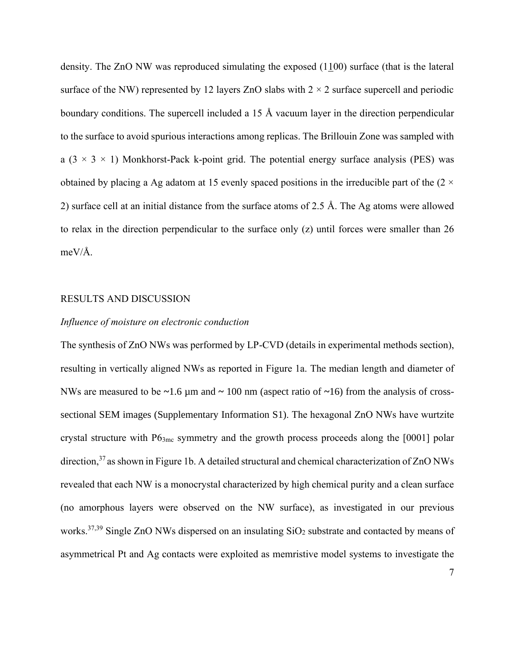density. The ZnO NW was reproduced simulating the exposed  $(1100)$  surface (that is the lateral surface of the NW) represented by 12 layers ZnO slabs with  $2 \times 2$  surface supercell and periodic boundary conditions. The supercell included a 15 Å vacuum layer in the direction perpendicular to the surface to avoid spurious interactions among replicas. The Brillouin Zone was sampled with a  $(3 \times 3 \times 1)$  Monkhorst-Pack k-point grid. The potential energy surface analysis (PES) was obtained by placing a Ag adatom at 15 evenly spaced positions in the irreducible part of the  $(2 \times$ 2) surface cell at an initial distance from the surface atoms of 2.5 Å. The Ag atoms were allowed to relax in the direction perpendicular to the surface only (z) until forces were smaller than 26 meV/Å.

#### RESULTS AND DISCUSSION

#### *Influence of moisture on electronic conduction*

The synthesis of ZnO NWs was performed by LP-CVD (details in experimental methods section), resulting in vertically aligned NWs as reported in Figure 1a. The median length and diameter of NWs are measured to be **~**1.6 µm and **~** 100 nm (aspect ratio of **~**16) from the analysis of crosssectional SEM images (Supplementary Information S1). The hexagonal ZnO NWs have wurtzite crystal structure with  $P6<sub>3mc</sub>$  symmetry and the growth process proceeds along the [0001] polar direction,<sup>37</sup> as shown in Figure 1b. A detailed structural and chemical characterization of ZnO NWs revealed that each NW is a monocrystal characterized by high chemical purity and a clean surface (no amorphous layers were observed on the NW surface), as investigated in our previous works.<sup>37,39</sup> Single ZnO NWs dispersed on an insulating  $SiO<sub>2</sub>$  substrate and contacted by means of asymmetrical Pt and Ag contacts were exploited as memristive model systems to investigate the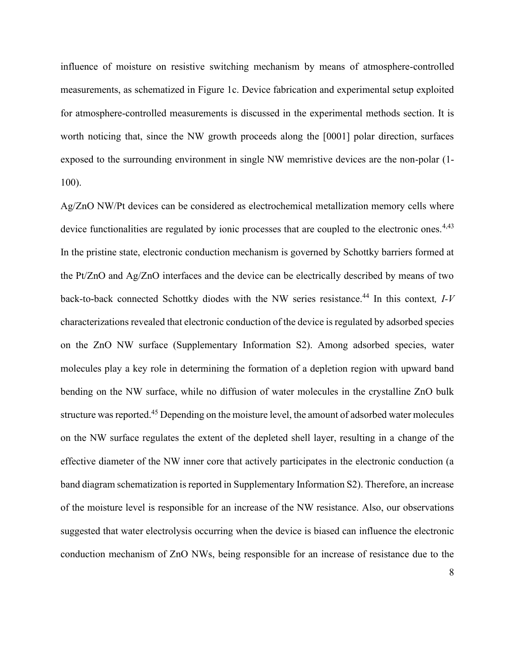influence of moisture on resistive switching mechanism by means of atmosphere-controlled measurements, as schematized in Figure 1c. Device fabrication and experimental setup exploited for atmosphere-controlled measurements is discussed in the experimental methods section. It is worth noticing that, since the NW growth proceeds along the [0001] polar direction, surfaces exposed to the surrounding environment in single NW memristive devices are the non-polar (1- 100).

Ag/ZnO NW/Pt devices can be considered as electrochemical metallization memory cells where device functionalities are regulated by ionic processes that are coupled to the electronic ones.<sup>4,43</sup> In the pristine state, electronic conduction mechanism is governed by Schottky barriers formed at the Pt/ZnO and Ag/ZnO interfaces and the device can be electrically described by means of two back-to-back connected Schottky diodes with the NW series resistance.<sup>44</sup> In this context, *I-V* characterizations revealed that electronic conduction of the device is regulated by adsorbed species on the ZnO NW surface (Supplementary Information S2). Among adsorbed species, water molecules play a key role in determining the formation of a depletion region with upward band bending on the NW surface, while no diffusion of water molecules in the crystalline ZnO bulk structure was reported.<sup>45</sup> Depending on the moisture level, the amount of adsorbed water molecules on the NW surface regulates the extent of the depleted shell layer, resulting in a change of the effective diameter of the NW inner core that actively participates in the electronic conduction (a band diagram schematization is reported in Supplementary Information S2). Therefore, an increase of the moisture level is responsible for an increase of the NW resistance. Also, our observations suggested that water electrolysis occurring when the device is biased can influence the electronic conduction mechanism of ZnO NWs, being responsible for an increase of resistance due to the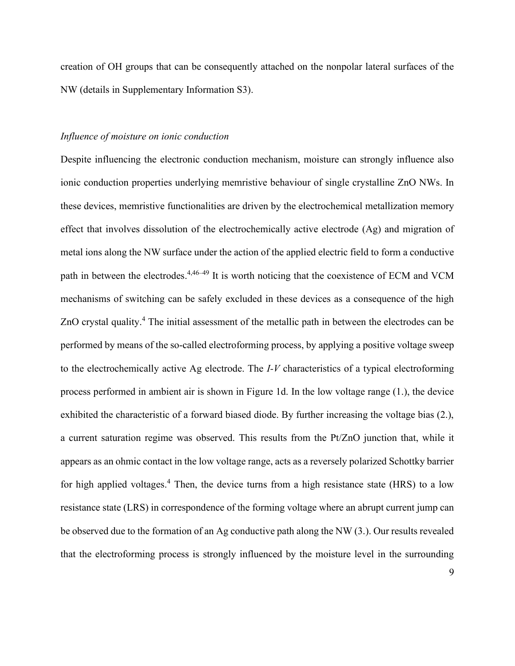creation of OH groups that can be consequently attached on the nonpolar lateral surfaces of the NW (details in Supplementary Information S3).

#### *Influence of moisture on ionic conduction*

Despite influencing the electronic conduction mechanism, moisture can strongly influence also ionic conduction properties underlying memristive behaviour of single crystalline ZnO NWs. In these devices, memristive functionalities are driven by the electrochemical metallization memory effect that involves dissolution of the electrochemically active electrode (Ag) and migration of metal ions along the NW surface under the action of the applied electric field to form a conductive path in between the electrodes.<sup>4,46-49</sup> It is worth noticing that the coexistence of ECM and VCM mechanisms of switching can be safely excluded in these devices as a consequence of the high ZnO crystal quality.<sup>4</sup> The initial assessment of the metallic path in between the electrodes can be performed by means of the so-called electroforming process, by applying a positive voltage sweep to the electrochemically active Ag electrode. The *I-V* characteristics of a typical electroforming process performed in ambient air is shown in Figure 1d. In the low voltage range (1.), the device exhibited the characteristic of a forward biased diode. By further increasing the voltage bias (2.), a current saturation regime was observed. This results from the Pt/ZnO junction that, while it appears as an ohmic contact in the low voltage range, acts as a reversely polarized Schottky barrier for high applied voltages.<sup>4</sup> Then, the device turns from a high resistance state (HRS) to a low resistance state (LRS) in correspondence of the forming voltage where an abrupt current jump can be observed due to the formation of an Ag conductive path along the NW (3.). Our results revealed that the electroforming process is strongly influenced by the moisture level in the surrounding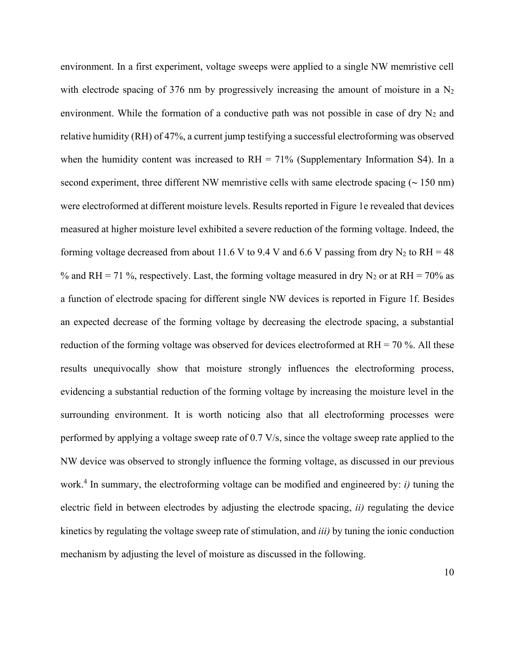environment. In a first experiment, voltage sweeps were applied to a single NW memristive cell with electrode spacing of 376 nm by progressively increasing the amount of moisture in a  $N_2$ environment. While the formation of a conductive path was not possible in case of dry  $N_2$  and relative humidity (RH) of 47%, a current jump testifying a successful electroforming was observed when the humidity content was increased to  $RH = 71\%$  (Supplementary Information S4). In a second experiment, three different NW memristive cells with same electrode spacing (**~** 150 nm) were electroformed at different moisture levels. Results reported in Figure 1e revealed that devices measured at higher moisture level exhibited a severe reduction of the forming voltage. Indeed, the forming voltage decreased from about 11.6 V to 9.4 V and 6.6 V passing from dry  $N_2$  to RH = 48 % and RH = 71 %, respectively. Last, the forming voltage measured in dry  $N_2$  or at RH = 70% as a function of electrode spacing for different single NW devices is reported in Figure 1f. Besides an expected decrease of the forming voltage by decreasing the electrode spacing, a substantial reduction of the forming voltage was observed for devices electroformed at  $RH = 70$ %. All these results unequivocally show that moisture strongly influences the electroforming process, evidencing a substantial reduction of the forming voltage by increasing the moisture level in the surrounding environment. It is worth noticing also that all electroforming processes were performed by applying a voltage sweep rate of 0.7 V/s, since the voltage sweep rate applied to the NW device was observed to strongly influence the forming voltage, as discussed in our previous work.<sup>4</sup> In summary, the electroforming voltage can be modified and engineered by: *i)* tuning the electric field in between electrodes by adjusting the electrode spacing, *ii)* regulating the device kinetics by regulating the voltage sweep rate of stimulation, and *iii)* by tuning the ionic conduction mechanism by adjusting the level of moisture as discussed in the following.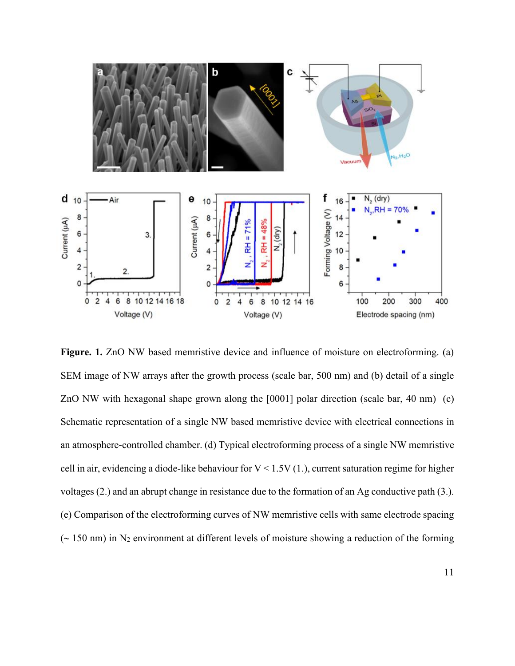

Figure. 1. ZnO NW based memristive device and influence of moisture on electroforming. (a) SEM image of NW arrays after the growth process (scale bar, 500 nm) and (b) detail of a single ZnO NW with hexagonal shape grown along the [0001] polar direction (scale bar, 40 nm) (c) Schematic representation of a single NW based memristive device with electrical connections in an atmosphere-controlled chamber. (d) Typical electroforming process of a single NW memristive cell in air, evidencing a diode-like behaviour for  $V < 1.5V(1)$ , current saturation regime for higher voltages (2.) and an abrupt change in resistance due to the formation of an Ag conductive path (3.). (e) Comparison of the electroforming curves of NW memristive cells with same electrode spacing  $\sim$  150 nm) in N<sub>2</sub> environment at different levels of moisture showing a reduction of the forming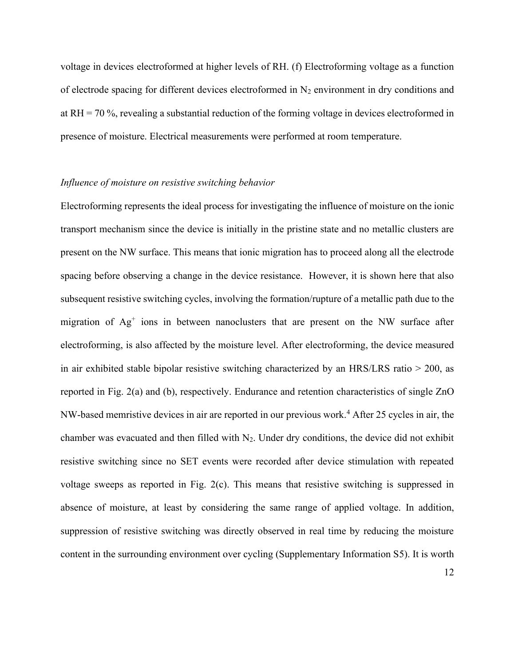voltage in devices electroformed at higher levels of RH. (f) Electroforming voltage as a function of electrode spacing for different devices electroformed in  $N_2$  environment in dry conditions and at  $RH = 70$ %, revealing a substantial reduction of the forming voltage in devices electroformed in presence of moisture. Electrical measurements were performed at room temperature.

#### *Influence of moisture on resistive switching behavior*

Electroforming represents the ideal process for investigating the influence of moisture on the ionic transport mechanism since the device is initially in the pristine state and no metallic clusters are present on the NW surface. This means that ionic migration has to proceed along all the electrode spacing before observing a change in the device resistance. However, it is shown here that also subsequent resistive switching cycles, involving the formation/rupture of a metallic path due to the migration of Ag<sup>+</sup> ions in between nanoclusters that are present on the NW surface after electroforming, is also affected by the moisture level. After electroforming, the device measured in air exhibited stable bipolar resistive switching characterized by an HRS/LRS ratio > 200, as reported in Fig. 2(a) and (b), respectively. Endurance and retention characteristics of single ZnO NW-based memristive devices in air are reported in our previous work.<sup>4</sup> After 25 cycles in air, the chamber was evacuated and then filled with  $N_2$ . Under dry conditions, the device did not exhibit resistive switching since no SET events were recorded after device stimulation with repeated voltage sweeps as reported in Fig. 2(c). This means that resistive switching is suppressed in absence of moisture, at least by considering the same range of applied voltage. In addition, suppression of resistive switching was directly observed in real time by reducing the moisture content in the surrounding environment over cycling (Supplementary Information S5). It is worth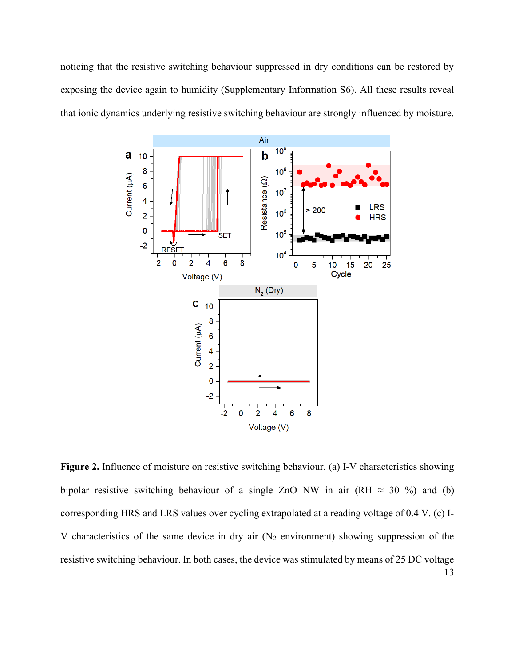noticing that the resistive switching behaviour suppressed in dry conditions can be restored by exposing the device again to humidity (Supplementary Information S6). All these results reveal that ionic dynamics underlying resistive switching behaviour are strongly influenced by moisture.



13 **Figure 2.** Influence of moisture on resistive switching behaviour. (a) I-V characteristics showing bipolar resistive switching behaviour of a single ZnO NW in air (RH  $\approx$  30 %) and (b) corresponding HRS and LRS values over cycling extrapolated at a reading voltage of 0.4 V. (c) I-V characteristics of the same device in dry air  $(N_2$  environment) showing suppression of the resistive switching behaviour. In both cases, the device was stimulated by means of 25 DC voltage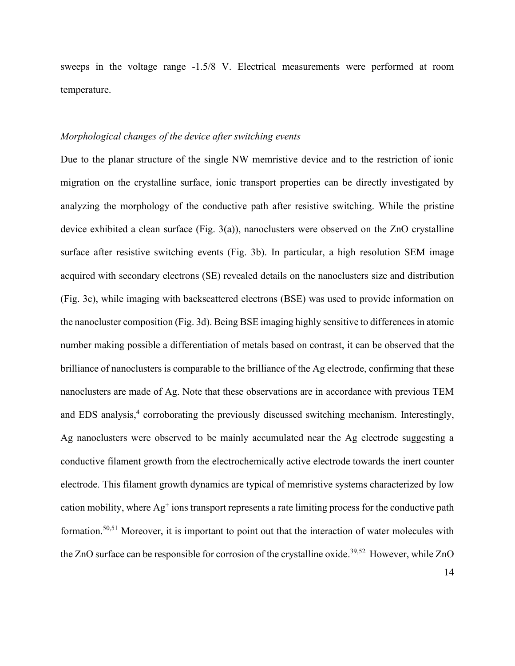sweeps in the voltage range -1.5/8 V. Electrical measurements were performed at room temperature.

#### *Morphological changes of the device after switching events*

Due to the planar structure of the single NW memristive device and to the restriction of ionic migration on the crystalline surface, ionic transport properties can be directly investigated by analyzing the morphology of the conductive path after resistive switching. While the pristine device exhibited a clean surface (Fig. 3(a)), nanoclusters were observed on the ZnO crystalline surface after resistive switching events (Fig. 3b). In particular, a high resolution SEM image acquired with secondary electrons (SE) revealed details on the nanoclusters size and distribution (Fig. 3c), while imaging with backscattered electrons (BSE) was used to provide information on the nanocluster composition (Fig. 3d). Being BSE imaging highly sensitive to differences in atomic number making possible a differentiation of metals based on contrast, it can be observed that the brilliance of nanoclusters is comparable to the brilliance of the Ag electrode, confirming that these nanoclusters are made of Ag. Note that these observations are in accordance with previous TEM and EDS analysis, 4 corroborating the previously discussed switching mechanism. Interestingly, Ag nanoclusters were observed to be mainly accumulated near the Ag electrode suggesting a conductive filament growth from the electrochemically active electrode towards the inert counter electrode. This filament growth dynamics are typical of memristive systems characterized by low cation mobility, where  $Ag^+$  ions transport represents a rate limiting process for the conductive path formation.50,51 Moreover, it is important to point out that the interaction of water molecules with the ZnO surface can be responsible for corrosion of the crystalline oxide.<sup>39,52</sup> However, while ZnO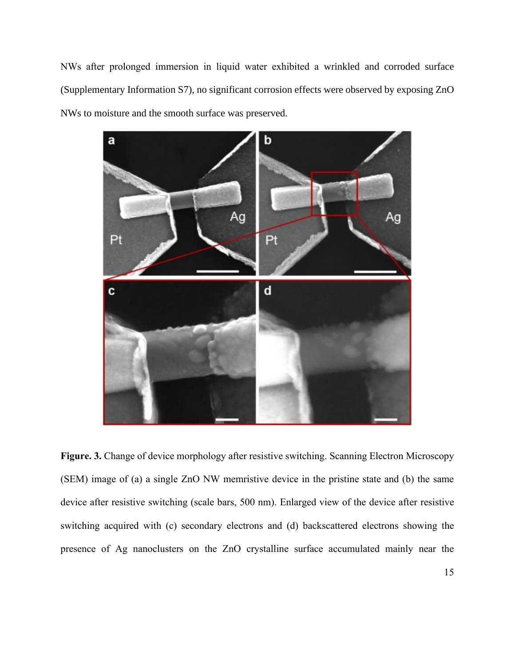NWs after prolonged immersion in liquid water exhibited a wrinkled and corroded surface (Supplementary Information S7), no significant corrosion effects were observed by exposing ZnO NWs to moisture and the smooth surface was preserved.



**Figure. 3.** Change of device morphology after resistive switching. Scanning Electron Microscopy (SEM) image of (a) a single ZnO NW memristive device in the pristine state and (b) the same device after resistive switching (scale bars, 500 nm). Enlarged view of the device after resistive switching acquired with (c) secondary electrons and (d) backscattered electrons showing the presence of Ag nanoclusters on the ZnO crystalline surface accumulated mainly near the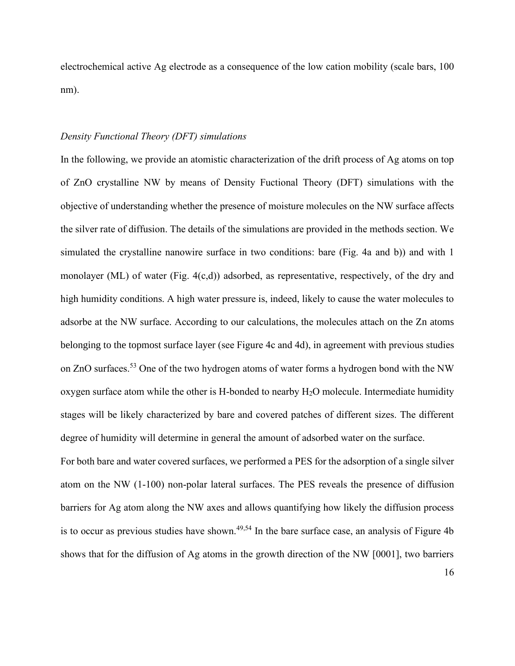electrochemical active Ag electrode as a consequence of the low cation mobility (scale bars, 100 nm).

#### *Density Functional Theory (DFT) simulations*

In the following, we provide an atomistic characterization of the drift process of Ag atoms on top of ZnO crystalline NW by means of Density Fuctional Theory (DFT) simulations with the objective of understanding whether the presence of moisture molecules on the NW surface affects the silver rate of diffusion. The details of the simulations are provided in the methods section. We simulated the crystalline nanowire surface in two conditions: bare (Fig. 4a and b)) and with 1 monolayer (ML) of water (Fig. 4(c,d)) adsorbed, as representative, respectively, of the dry and high humidity conditions. A high water pressure is, indeed, likely to cause the water molecules to adsorbe at the NW surface. According to our calculations, the molecules attach on the Zn atoms belonging to the topmost surface layer (see Figure 4c and 4d), in agreement with previous studies on ZnO surfaces.<sup>53</sup> One of the two hydrogen atoms of water forms a hydrogen bond with the NW oxygen surface atom while the other is H-bonded to nearby  $H_2O$  molecule. Intermediate humidity stages will be likely characterized by bare and covered patches of different sizes. The different degree of humidity will determine in general the amount of adsorbed water on the surface.

For both bare and water covered surfaces, we performed a PES for the adsorption of a single silver atom on the NW (1-100) non-polar lateral surfaces. The PES reveals the presence of diffusion barriers for Ag atom along the NW axes and allows quantifying how likely the diffusion process is to occur as previous studies have shown.<sup>49,54</sup> In the bare surface case, an analysis of Figure 4b shows that for the diffusion of Ag atoms in the growth direction of the NW [0001], two barriers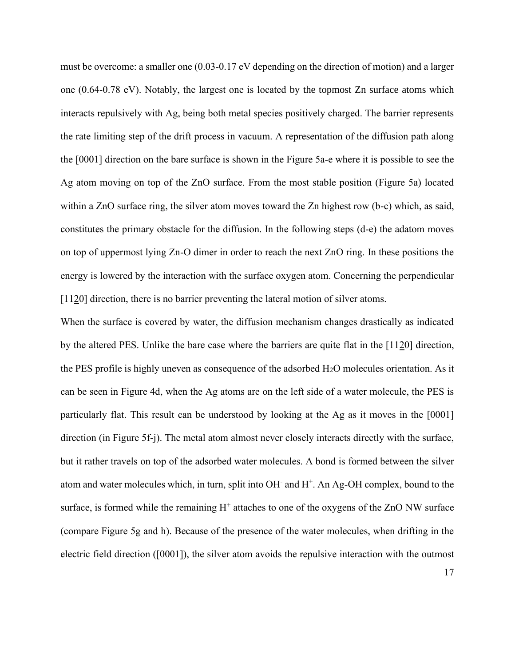must be overcome: a smaller one (0.03-0.17 eV depending on the direction of motion) and a larger one (0.64-0.78 eV). Notably, the largest one is located by the topmost Zn surface atoms which interacts repulsively with Ag, being both metal species positively charged. The barrier represents the rate limiting step of the drift process in vacuum. A representation of the diffusion path along the [0001] direction on the bare surface is shown in the Figure 5a-e where it is possible to see the Ag atom moving on top of the ZnO surface. From the most stable position (Figure 5a) located within a ZnO surface ring, the silver atom moves toward the Zn highest row (b-c) which, as said, constitutes the primary obstacle for the diffusion. In the following steps (d-e) the adatom moves on top of uppermost lying Zn-O dimer in order to reach the next ZnO ring. In these positions the energy is lowered by the interaction with the surface oxygen atom. Concerning the perpendicular [1120] direction, there is no barrier preventing the lateral motion of silver atoms.

When the surface is covered by water, the diffusion mechanism changes drastically as indicated by the altered PES. Unlike the bare case where the barriers are quite flat in the [1120] direction, the PES profile is highly uneven as consequence of the adsorbed  $H_2O$  molecules orientation. As it can be seen in Figure 4d, when the Ag atoms are on the left side of a water molecule, the PES is particularly flat. This result can be understood by looking at the Ag as it moves in the [0001] direction (in Figure 5f-j). The metal atom almost never closely interacts directly with the surface, but it rather travels on top of the adsorbed water molecules. A bond is formed between the silver atom and water molecules which, in turn, split into OH<sup>-</sup> and H<sup>+</sup>. An Ag-OH complex, bound to the surface, is formed while the remaining  $H^+$  attaches to one of the oxygens of the ZnO NW surface (compare Figure 5g and h). Because of the presence of the water molecules, when drifting in the electric field direction ([0001]), the silver atom avoids the repulsive interaction with the outmost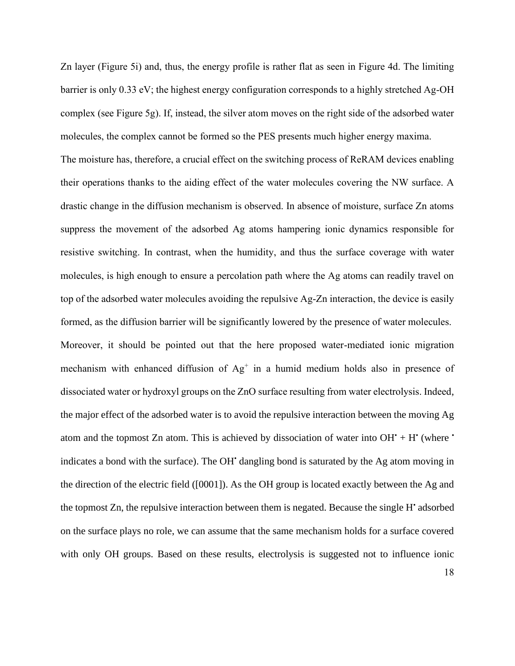Zn layer (Figure 5i) and, thus, the energy profile is rather flat as seen in Figure 4d. The limiting barrier is only 0.33 eV; the highest energy configuration corresponds to a highly stretched Ag-OH complex (see Figure 5g). If, instead, the silver atom moves on the right side of the adsorbed water molecules, the complex cannot be formed so the PES presents much higher energy maxima.

The moisture has, therefore, a crucial effect on the switching process of ReRAM devices enabling their operations thanks to the aiding effect of the water molecules covering the NW surface. A drastic change in the diffusion mechanism is observed. In absence of moisture, surface Zn atoms suppress the movement of the adsorbed Ag atoms hampering ionic dynamics responsible for resistive switching. In contrast, when the humidity, and thus the surface coverage with water molecules, is high enough to ensure a percolation path where the Ag atoms can readily travel on top of the adsorbed water molecules avoiding the repulsive Ag-Zn interaction, the device is easily formed, as the diffusion barrier will be significantly lowered by the presence of water molecules. Moreover, it should be pointed out that the here proposed water-mediated ionic migration mechanism with enhanced diffusion of  $Ag<sup>+</sup>$  in a humid medium holds also in presence of dissociated water or hydroxyl groups on the ZnO surface resulting from water electrolysis. Indeed, the major effect of the adsorbed water is to avoid the repulsive interaction between the moving Ag atom and the topmost Zn atom. This is achieved by dissociation of water into  $OH^* + H^*$  (where  $\dot{ }$ indicates a bond with the surface). The OH' dangling bond is saturated by the Ag atom moving in the direction of the electric field ([0001]). As the OH group is located exactly between the Ag and the topmost Zn, the repulsive interaction between them is negated. Because the single H• adsorbed on the surface plays no role, we can assume that the same mechanism holds for a surface covered with only OH groups. Based on these results, electrolysis is suggested not to influence ionic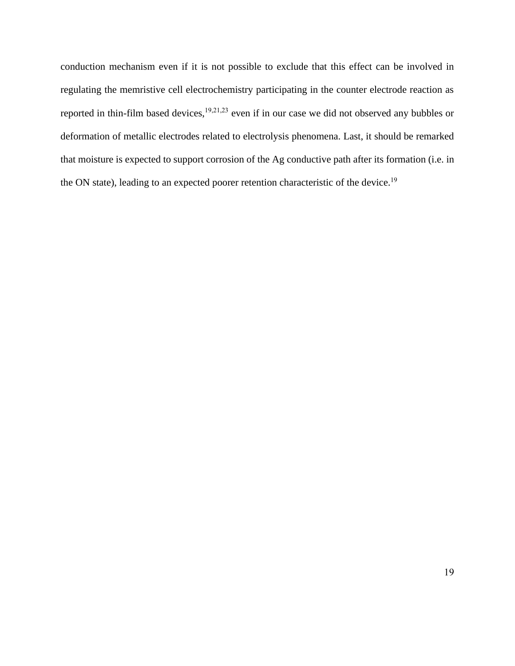conduction mechanism even if it is not possible to exclude that this effect can be involved in regulating the memristive cell electrochemistry participating in the counter electrode reaction as reported in thin-film based devices,<sup>19,21,23</sup> even if in our case we did not observed any bubbles or deformation of metallic electrodes related to electrolysis phenomena. Last, it should be remarked that moisture is expected to support corrosion of the Ag conductive path after its formation (i.e. in the ON state), leading to an expected poorer retention characteristic of the device.<sup>19</sup>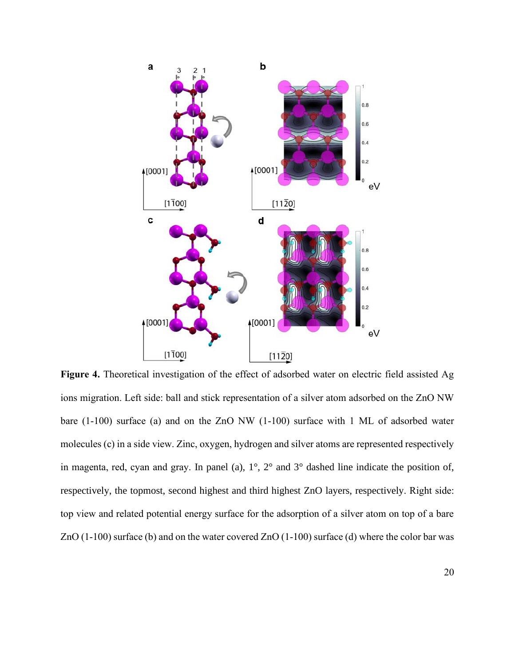

**Figure 4.** Theoretical investigation of the effect of adsorbed water on electric field assisted Ag ions migration. Left side: ball and stick representation of a silver atom adsorbed on the ZnO NW bare (1-100) surface (a) and on the ZnO NW (1-100) surface with 1 ML of adsorbed water molecules (c) in a side view. Zinc, oxygen, hydrogen and silver atoms are represented respectively in magenta, red, cyan and gray. In panel (a), 1°, 2° and 3° dashed line indicate the position of, respectively, the topmost, second highest and third highest ZnO layers, respectively. Right side: top view and related potential energy surface for the adsorption of a silver atom on top of a bare ZnO (1-100) surface (b) and on the water covered ZnO (1-100) surface (d) where the color bar was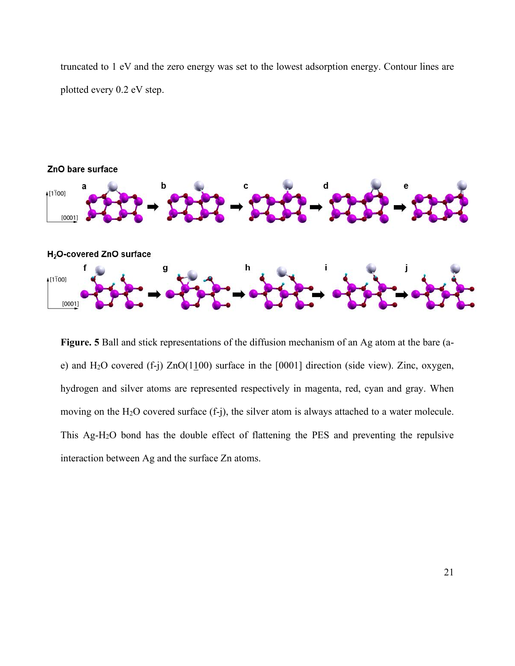truncated to 1 eV and the zero energy was set to the lowest adsorption energy. Contour lines are plotted every 0.2 eV step.



**Figure. 5** Ball and stick representations of the diffusion mechanism of an Ag atom at the bare (ae) and H<sub>2</sub>O covered (f-j)  $ZnO(1100)$  surface in the [0001] direction (side view). Zinc, oxygen, hydrogen and silver atoms are represented respectively in magenta, red, cyan and gray. When moving on the  $H_2O$  covered surface  $(f-<sub>i</sub>)$ , the silver atom is always attached to a water molecule. This Ag-H2O bond has the double effect of flattening the PES and preventing the repulsive interaction between Ag and the surface Zn atoms.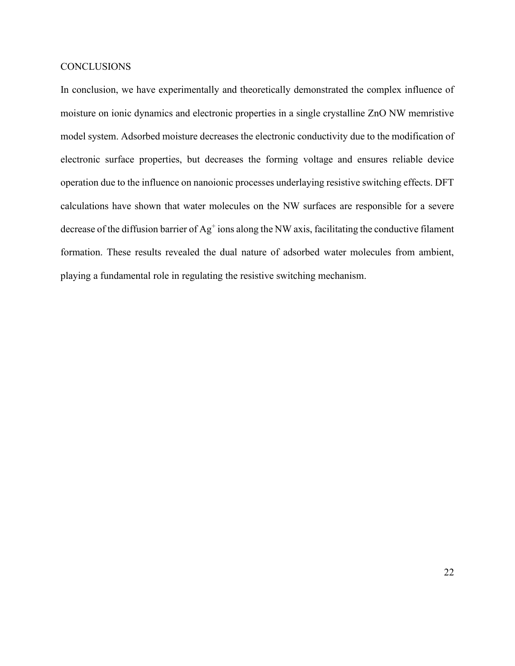#### **CONCLUSIONS**

In conclusion, we have experimentally and theoretically demonstrated the complex influence of moisture on ionic dynamics and electronic properties in a single crystalline ZnO NW memristive model system. Adsorbed moisture decreases the electronic conductivity due to the modification of electronic surface properties, but decreases the forming voltage and ensures reliable device operation due to the influence on nanoionic processes underlaying resistive switching effects. DFT calculations have shown that water molecules on the NW surfaces are responsible for a severe decrease of the diffusion barrier of  $Ag<sup>+</sup>$  ions along the NW axis, facilitating the conductive filament formation. These results revealed the dual nature of adsorbed water molecules from ambient, playing a fundamental role in regulating the resistive switching mechanism.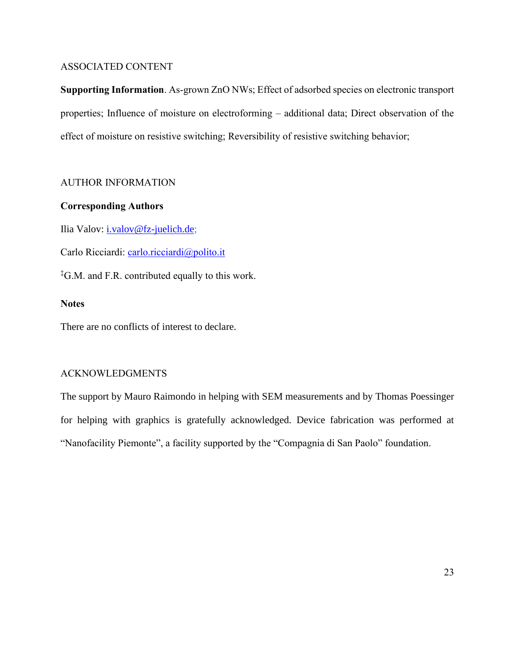# ASSOCIATED CONTENT

**Supporting Information**. As-grown ZnO NWs; Effect of adsorbed species on electronic transport properties; Influence of moisture on electroforming – additional data; Direct observation of the effect of moisture on resistive switching; Reversibility of resistive switching behavior;

# AUTHOR INFORMATION

# **Corresponding Authors**

Ilia Valov: *i.valov@fz-juelich.de*;

Carlo Ricciardi: [carlo.ricciardi@polito.it](mailto:carlo.ricciardi@polito.it)

‡G.M. and F.R. contributed equally to this work.

# **Notes**

There are no conflicts of interest to declare.

# ACKNOWLEDGMENTS

The support by Mauro Raimondo in helping with SEM measurements and by Thomas Poessinger for helping with graphics is gratefully acknowledged. Device fabrication was performed at "Nanofacility Piemonte", a facility supported by the "Compagnia di San Paolo" foundation.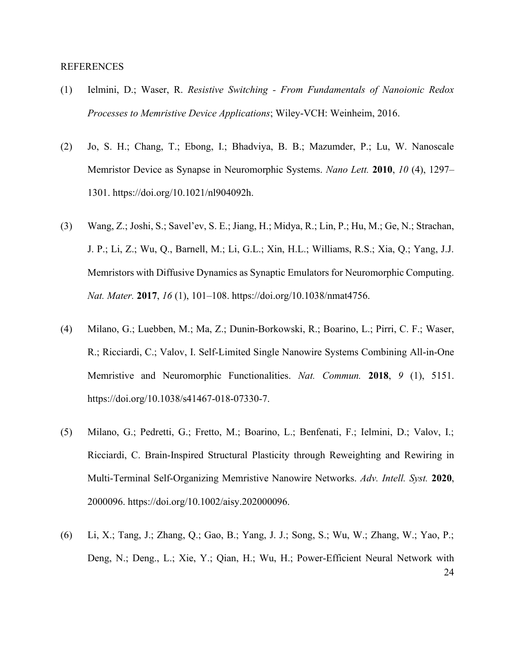#### REFERENCES

- (1) Ielmini, D.; Waser, R. *Resistive Switching - From Fundamentals of Nanoionic Redox Processes to Memristive Device Applications*; Wiley-VCH: Weinheim, 2016.
- (2) Jo, S. H.; Chang, T.; Ebong, I.; Bhadviya, B. B.; Mazumder, P.; Lu, W. Nanoscale Memristor Device as Synapse in Neuromorphic Systems. *Nano Lett.* **2010**, *10* (4), 1297– 1301. https://doi.org/10.1021/nl904092h.
- (3) Wang, Z.; Joshi, S.; Savel'ev, S. E.; Jiang, H.; Midya, R.; Lin, P.; Hu, M.; Ge, N.; Strachan, J. P.; Li, Z.; Wu, Q., Barnell, M.; Li, G.L.; Xin, H.L.; Williams, R.S.; Xia, Q.; Yang, J.J. Memristors with Diffusive Dynamics as Synaptic Emulators for Neuromorphic Computing. *Nat. Mater.* **2017**, *16* (1), 101–108. https://doi.org/10.1038/nmat4756.
- (4) Milano, G.; Luebben, M.; Ma, Z.; Dunin-Borkowski, R.; Boarino, L.; Pirri, C. F.; Waser, R.; Ricciardi, C.; Valov, I. Self-Limited Single Nanowire Systems Combining All-in-One Memristive and Neuromorphic Functionalities. *Nat. Commun.* **2018**, *9* (1), 5151. https://doi.org/10.1038/s41467-018-07330-7.
- (5) Milano, G.; Pedretti, G.; Fretto, M.; Boarino, L.; Benfenati, F.; Ielmini, D.; Valov, I.; Ricciardi, C. Brain‐Inspired Structural Plasticity through Reweighting and Rewiring in Multi‐Terminal Self‐Organizing Memristive Nanowire Networks. *Adv. Intell. Syst.* **2020**, 2000096. https://doi.org/10.1002/aisy.202000096.
- 24 (6) Li, X.; Tang, J.; Zhang, Q.; Gao, B.; Yang, J. J.; Song, S.; Wu, W.; Zhang, W.; Yao, P.; Deng, N.; Deng., L.; Xie, Y.; Qian, H.; Wu, H.; Power-Efficient Neural Network with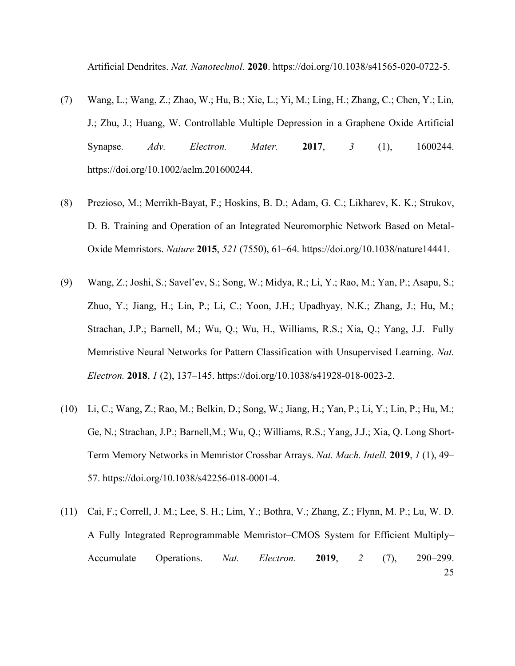Artificial Dendrites. *Nat. Nanotechnol.* **2020**. https://doi.org/10.1038/s41565-020-0722-5.

- (7) Wang, L.; Wang, Z.; Zhao, W.; Hu, B.; Xie, L.; Yi, M.; Ling, H.; Zhang, C.; Chen, Y.; Lin, J.; Zhu, J.; Huang, W. Controllable Multiple Depression in a Graphene Oxide Artificial Synapse. *Adv. Electron. Mater.* **2017**, *3* (1), 1600244. https://doi.org/10.1002/aelm.201600244.
- (8) Prezioso, M.; Merrikh-Bayat, F.; Hoskins, B. D.; Adam, G. C.; Likharev, K. K.; Strukov, D. B. Training and Operation of an Integrated Neuromorphic Network Based on Metal-Oxide Memristors. *Nature* **2015**, *521* (7550), 61–64. https://doi.org/10.1038/nature14441.
- (9) Wang, Z.; Joshi, S.; Savel'ev, S.; Song, W.; Midya, R.; Li, Y.; Rao, M.; Yan, P.; Asapu, S.; Zhuo, Y.; Jiang, H.; Lin, P.; Li, C.; Yoon, J.H.; Upadhyay, N.K.; Zhang, J.; Hu, M.; Strachan, J.P.; Barnell, M.; Wu, Q.; Wu, H., Williams, R.S.; Xia, Q.; Yang, J.J. Fully Memristive Neural Networks for Pattern Classification with Unsupervised Learning. *Nat. Electron.* **2018**, *1* (2), 137–145. https://doi.org/10.1038/s41928-018-0023-2.
- (10) Li, C.; Wang, Z.; Rao, M.; Belkin, D.; Song, W.; Jiang, H.; Yan, P.; Li, Y.; Lin, P.; Hu, M.; Ge, N.; Strachan, J.P.; Barnell,M.; Wu, Q.; Williams, R.S.; Yang, J.J.; Xia, Q. Long Short-Term Memory Networks in Memristor Crossbar Arrays. *Nat. Mach. Intell.* **2019**, *1* (1), 49– 57. https://doi.org/10.1038/s42256-018-0001-4.
- 25 (11) Cai, F.; Correll, J. M.; Lee, S. H.; Lim, Y.; Bothra, V.; Zhang, Z.; Flynn, M. P.; Lu, W. D. A Fully Integrated Reprogrammable Memristor–CMOS System for Efficient Multiply– Accumulate Operations. *Nat. Electron.* **2019**, *2* (7), 290–299.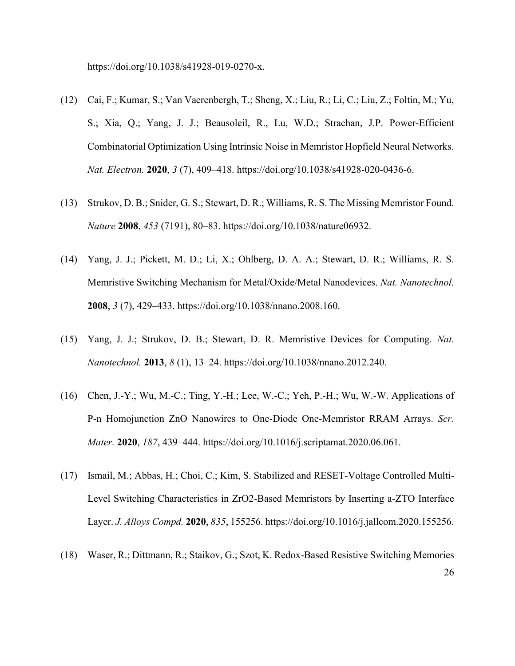https://doi.org/10.1038/s41928-019-0270-x.

- (12) Cai, F.; Kumar, S.; Van Vaerenbergh, T.; Sheng, X.; Liu, R.; Li, C.; Liu, Z.; Foltin, M.; Yu, S.; Xia, Q.; Yang, J. J.; Beausoleil, R., Lu, W.D.; Strachan, J.P. Power-Efficient Combinatorial Optimization Using Intrinsic Noise in Memristor Hopfield Neural Networks. *Nat. Electron.* **2020**, *3* (7), 409–418. https://doi.org/10.1038/s41928-020-0436-6.
- (13) Strukov, D. B.; Snider, G. S.; Stewart, D. R.; Williams, R. S. The Missing Memristor Found. *Nature* **2008**, *453* (7191), 80–83. https://doi.org/10.1038/nature06932.
- (14) Yang, J. J.; Pickett, M. D.; Li, X.; Ohlberg, D. A. A.; Stewart, D. R.; Williams, R. S. Memristive Switching Mechanism for Metal/Oxide/Metal Nanodevices. *Nat. Nanotechnol.* **2008**, *3* (7), 429–433. https://doi.org/10.1038/nnano.2008.160.
- (15) Yang, J. J.; Strukov, D. B.; Stewart, D. R. Memristive Devices for Computing. *Nat. Nanotechnol.* **2013**, *8* (1), 13–24. https://doi.org/10.1038/nnano.2012.240.
- (16) Chen, J.-Y.; Wu, M.-C.; Ting, Y.-H.; Lee, W.-C.; Yeh, P.-H.; Wu, W.-W. Applications of P-n Homojunction ZnO Nanowires to One-Diode One-Memristor RRAM Arrays. *Scr. Mater.* **2020**, *187*, 439–444. https://doi.org/10.1016/j.scriptamat.2020.06.061.
- (17) Ismail, M.; Abbas, H.; Choi, C.; Kim, S. Stabilized and RESET-Voltage Controlled Multi-Level Switching Characteristics in ZrO2-Based Memristors by Inserting a-ZTO Interface Layer. *J. Alloys Compd.* **2020**, *835*, 155256. https://doi.org/10.1016/j.jallcom.2020.155256.
- 26 (18) Waser, R.; Dittmann, R.; Staikov, G.; Szot, K. Redox-Based Resistive Switching Memories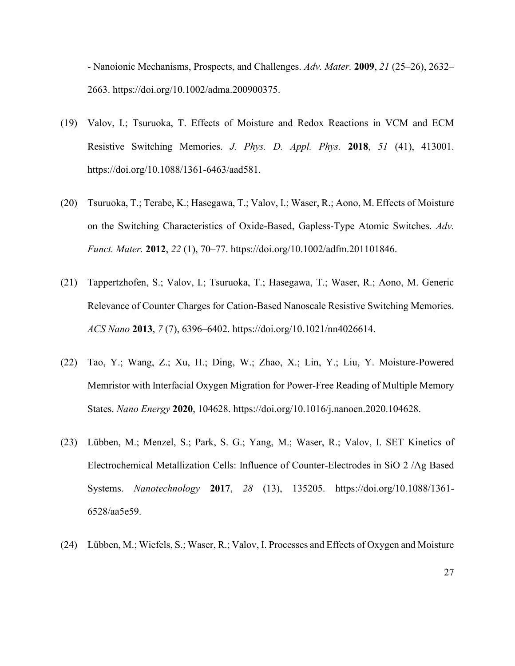- Nanoionic Mechanisms, Prospects, and Challenges. *Adv. Mater.* **2009**, *21* (25–26), 2632– 2663. https://doi.org/10.1002/adma.200900375.

- (19) Valov, I.; Tsuruoka, T. Effects of Moisture and Redox Reactions in VCM and ECM Resistive Switching Memories. *J. Phys. D. Appl. Phys.* **2018**, *51* (41), 413001. https://doi.org/10.1088/1361-6463/aad581.
- (20) Tsuruoka, T.; Terabe, K.; Hasegawa, T.; Valov, I.; Waser, R.; Aono, M. Effects of Moisture on the Switching Characteristics of Oxide-Based, Gapless-Type Atomic Switches. *Adv. Funct. Mater.* **2012**, *22* (1), 70–77. https://doi.org/10.1002/adfm.201101846.
- (21) Tappertzhofen, S.; Valov, I.; Tsuruoka, T.; Hasegawa, T.; Waser, R.; Aono, M. Generic Relevance of Counter Charges for Cation-Based Nanoscale Resistive Switching Memories. *ACS Nano* **2013**, *7* (7), 6396–6402. https://doi.org/10.1021/nn4026614.
- (22) Tao, Y.; Wang, Z.; Xu, H.; Ding, W.; Zhao, X.; Lin, Y.; Liu, Y. Moisture-Powered Memristor with Interfacial Oxygen Migration for Power-Free Reading of Multiple Memory States. *Nano Energy* **2020**, 104628. https://doi.org/10.1016/j.nanoen.2020.104628.
- (23) Lübben, M.; Menzel, S.; Park, S. G.; Yang, M.; Waser, R.; Valov, I. SET Kinetics of Electrochemical Metallization Cells: Influence of Counter-Electrodes in SiO 2 /Ag Based Systems. *Nanotechnology* **2017**, *28* (13), 135205. https://doi.org/10.1088/1361- 6528/aa5e59.
- (24) Lübben, M.; Wiefels, S.; Waser, R.; Valov, I. Processes and Effects of Oxygen and Moisture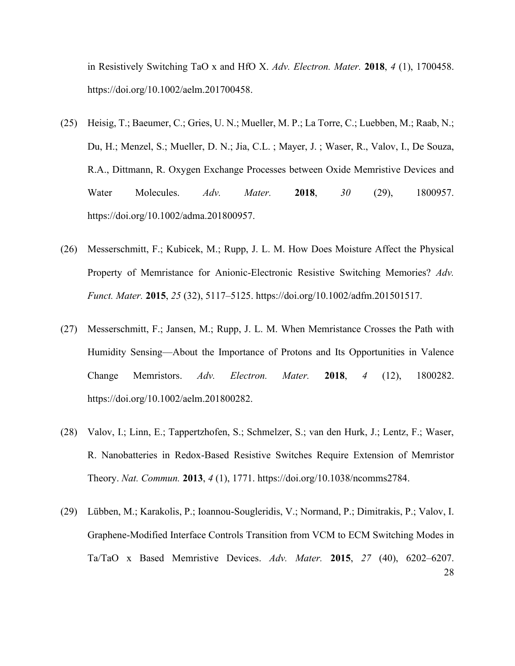in Resistively Switching TaO x and HfO X. *Adv. Electron. Mater.* **2018**, *4* (1), 1700458. https://doi.org/10.1002/aelm.201700458.

- (25) Heisig, T.; Baeumer, C.; Gries, U. N.; Mueller, M. P.; La Torre, C.; Luebben, M.; Raab, N.; Du, H.; Menzel, S.; Mueller, D. N.; Jia, C.L. ; Mayer, J. ; Waser, R., Valov, I., De Souza, R.A., Dittmann, R. Oxygen Exchange Processes between Oxide Memristive Devices and Water Molecules. *Adv. Mater.* **2018**, *30* (29), 1800957. https://doi.org/10.1002/adma.201800957.
- (26) Messerschmitt, F.; Kubicek, M.; Rupp, J. L. M. How Does Moisture Affect the Physical Property of Memristance for Anionic-Electronic Resistive Switching Memories? *Adv. Funct. Mater.* **2015**, *25* (32), 5117–5125. https://doi.org/10.1002/adfm.201501517.
- (27) Messerschmitt, F.; Jansen, M.; Rupp, J. L. M. When Memristance Crosses the Path with Humidity Sensing—About the Importance of Protons and Its Opportunities in Valence Change Memristors. *Adv. Electron. Mater.* **2018**, *4* (12), 1800282. https://doi.org/10.1002/aelm.201800282.
- (28) Valov, I.; Linn, E.; Tappertzhofen, S.; Schmelzer, S.; van den Hurk, J.; Lentz, F.; Waser, R. Nanobatteries in Redox-Based Resistive Switches Require Extension of Memristor Theory. *Nat. Commun.* **2013**, *4* (1), 1771. https://doi.org/10.1038/ncomms2784.
- 28 (29) Lübben, M.; Karakolis, P.; Ioannou-Sougleridis, V.; Normand, P.; Dimitrakis, P.; Valov, I. Graphene-Modified Interface Controls Transition from VCM to ECM Switching Modes in Ta/TaO x Based Memristive Devices. *Adv. Mater.* **2015**, *27* (40), 6202–6207.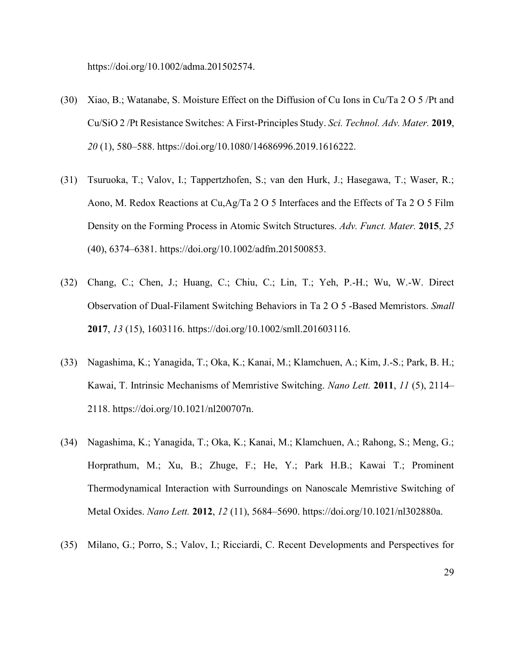https://doi.org/10.1002/adma.201502574.

- (30) Xiao, B.; Watanabe, S. Moisture Effect on the Diffusion of Cu Ions in Cu/Ta 2 O 5 /Pt and Cu/SiO 2 /Pt Resistance Switches: A First-Principles Study. *Sci. Technol. Adv. Mater.* **2019**, *20* (1), 580–588. https://doi.org/10.1080/14686996.2019.1616222.
- (31) Tsuruoka, T.; Valov, I.; Tappertzhofen, S.; van den Hurk, J.; Hasegawa, T.; Waser, R.; Aono, M. Redox Reactions at Cu,Ag/Ta 2 O 5 Interfaces and the Effects of Ta 2 O 5 Film Density on the Forming Process in Atomic Switch Structures. *Adv. Funct. Mater.* **2015**, *25* (40), 6374–6381. https://doi.org/10.1002/adfm.201500853.
- (32) Chang, C.; Chen, J.; Huang, C.; Chiu, C.; Lin, T.; Yeh, P.-H.; Wu, W.-W. Direct Observation of Dual-Filament Switching Behaviors in Ta 2 O 5 -Based Memristors. *Small* **2017**, *13* (15), 1603116. https://doi.org/10.1002/smll.201603116.
- (33) Nagashima, K.; Yanagida, T.; Oka, K.; Kanai, M.; Klamchuen, A.; Kim, J.-S.; Park, B. H.; Kawai, T. Intrinsic Mechanisms of Memristive Switching. *Nano Lett.* **2011**, *11* (5), 2114– 2118. https://doi.org/10.1021/nl200707n.
- (34) Nagashima, K.; Yanagida, T.; Oka, K.; Kanai, M.; Klamchuen, A.; Rahong, S.; Meng, G.; Horprathum, M.; Xu, B.; Zhuge, F.; He, Y.; Park H.B.; Kawai T.; Prominent Thermodynamical Interaction with Surroundings on Nanoscale Memristive Switching of Metal Oxides. *Nano Lett.* **2012**, *12* (11), 5684–5690. https://doi.org/10.1021/nl302880a.
- (35) Milano, G.; Porro, S.; Valov, I.; Ricciardi, C. Recent Developments and Perspectives for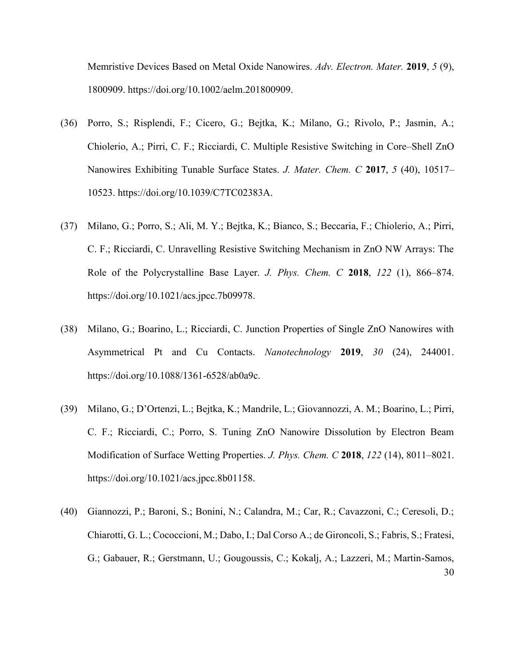Memristive Devices Based on Metal Oxide Nanowires. *Adv. Electron. Mater.* **2019**, *5* (9), 1800909. https://doi.org/10.1002/aelm.201800909.

- (36) Porro, S.; Risplendi, F.; Cicero, G.; Bejtka, K.; Milano, G.; Rivolo, P.; Jasmin, A.; Chiolerio, A.; Pirri, C. F.; Ricciardi, C. Multiple Resistive Switching in Core–Shell ZnO Nanowires Exhibiting Tunable Surface States. *J. Mater. Chem. C* **2017**, *5* (40), 10517– 10523. https://doi.org/10.1039/C7TC02383A.
- (37) Milano, G.; Porro, S.; Ali, M. Y.; Bejtka, K.; Bianco, S.; Beccaria, F.; Chiolerio, A.; Pirri, C. F.; Ricciardi, C. Unravelling Resistive Switching Mechanism in ZnO NW Arrays: The Role of the Polycrystalline Base Layer. *J. Phys. Chem. C* **2018**, *122* (1), 866–874. https://doi.org/10.1021/acs.jpcc.7b09978.
- (38) Milano, G.; Boarino, L.; Ricciardi, C. Junction Properties of Single ZnO Nanowires with Asymmetrical Pt and Cu Contacts. *Nanotechnology* **2019**, *30* (24), 244001. https://doi.org/10.1088/1361-6528/ab0a9c.
- (39) Milano, G.; D'Ortenzi, L.; Bejtka, K.; Mandrile, L.; Giovannozzi, A. M.; Boarino, L.; Pirri, C. F.; Ricciardi, C.; Porro, S. Tuning ZnO Nanowire Dissolution by Electron Beam Modification of Surface Wetting Properties. *J. Phys. Chem. C* **2018**, *122* (14), 8011–8021. https://doi.org/10.1021/acs.jpcc.8b01158.
- 30 (40) Giannozzi, P.; Baroni, S.; Bonini, N.; Calandra, M.; Car, R.; Cavazzoni, C.; Ceresoli, D.; Chiarotti, G. L.; Cococcioni, M.; Dabo, I.; Dal Corso A.; de Gironcoli, S.; Fabris, S.; Fratesi, G.; Gabauer, R.; Gerstmann, U.; Gougoussis, C.; Kokalj, A.; Lazzeri, M.; Martin-Samos,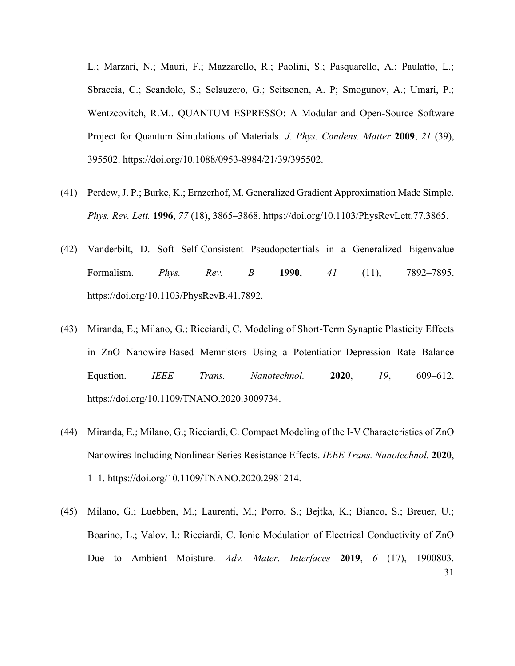L.; Marzari, N.; Mauri, F.; Mazzarello, R.; Paolini, S.; Pasquarello, A.; Paulatto, L.; Sbraccia, C.; Scandolo, S.; Sclauzero, G.; Seitsonen, A. P; Smogunov, A.; Umari, P.; Wentzcovitch, R.M.. QUANTUM ESPRESSO: A Modular and Open-Source Software Project for Quantum Simulations of Materials. *J. Phys. Condens. Matter* **2009**, *21* (39), 395502. https://doi.org/10.1088/0953-8984/21/39/395502.

- (41) Perdew, J. P.; Burke, K.; Ernzerhof, M. Generalized Gradient Approximation Made Simple. *Phys. Rev. Lett.* **1996**, *77* (18), 3865–3868. https://doi.org/10.1103/PhysRevLett.77.3865.
- (42) Vanderbilt, D. Soft Self-Consistent Pseudopotentials in a Generalized Eigenvalue Formalism. *Phys. Rev. B* **1990**, *41* (11), 7892–7895. https://doi.org/10.1103/PhysRevB.41.7892.
- (43) Miranda, E.; Milano, G.; Ricciardi, C. Modeling of Short-Term Synaptic Plasticity Effects in ZnO Nanowire-Based Memristors Using a Potentiation-Depression Rate Balance Equation. *IEEE Trans. Nanotechnol.* **2020**, *19*, 609–612. https://doi.org/10.1109/TNANO.2020.3009734.
- (44) Miranda, E.; Milano, G.; Ricciardi, C. Compact Modeling of the I-V Characteristics of ZnO Nanowires Including Nonlinear Series Resistance Effects. *IEEE Trans. Nanotechnol.* **2020**, 1–1. https://doi.org/10.1109/TNANO.2020.2981214.
- 31 (45) Milano, G.; Luebben, M.; Laurenti, M.; Porro, S.; Bejtka, K.; Bianco, S.; Breuer, U.; Boarino, L.; Valov, I.; Ricciardi, C. Ionic Modulation of Electrical Conductivity of ZnO Due to Ambient Moisture. *Adv. Mater. Interfaces* **2019**, *6* (17), 1900803.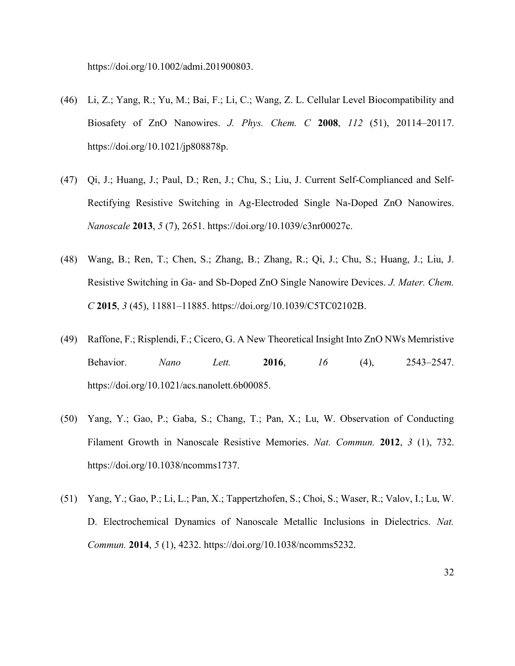https://doi.org/10.1002/admi.201900803.

- (46) Li, Z.; Yang, R.; Yu, M.; Bai, F.; Li, C.; Wang, Z. L. Cellular Level Biocompatibility and Biosafety of ZnO Nanowires. *J. Phys. Chem. C* **2008**, *112* (51), 20114–20117. https://doi.org/10.1021/jp808878p.
- (47) Qi, J.; Huang, J.; Paul, D.; Ren, J.; Chu, S.; Liu, J. Current Self-Complianced and Self-Rectifying Resistive Switching in Ag-Electroded Single Na-Doped ZnO Nanowires. *Nanoscale* **2013**, *5* (7), 2651. https://doi.org/10.1039/c3nr00027c.
- (48) Wang, B.; Ren, T.; Chen, S.; Zhang, B.; Zhang, R.; Qi, J.; Chu, S.; Huang, J.; Liu, J. Resistive Switching in Ga- and Sb-Doped ZnO Single Nanowire Devices. *J. Mater. Chem. C* **2015**, *3* (45), 11881–11885. https://doi.org/10.1039/C5TC02102B.
- (49) Raffone, F.; Risplendi, F.; Cicero, G. A New Theoretical Insight Into ZnO NWs Memristive Behavior. *Nano Lett.* **2016**, *16* (4), 2543–2547. https://doi.org/10.1021/acs.nanolett.6b00085.
- (50) Yang, Y.; Gao, P.; Gaba, S.; Chang, T.; Pan, X.; Lu, W. Observation of Conducting Filament Growth in Nanoscale Resistive Memories. *Nat. Commun.* **2012**, *3* (1), 732. https://doi.org/10.1038/ncomms1737.
- (51) Yang, Y.; Gao, P.; Li, L.; Pan, X.; Tappertzhofen, S.; Choi, S.; Waser, R.; Valov, I.; Lu, W. D. Electrochemical Dynamics of Nanoscale Metallic Inclusions in Dielectrics. *Nat. Commun.* **2014**, *5* (1), 4232. https://doi.org/10.1038/ncomms5232.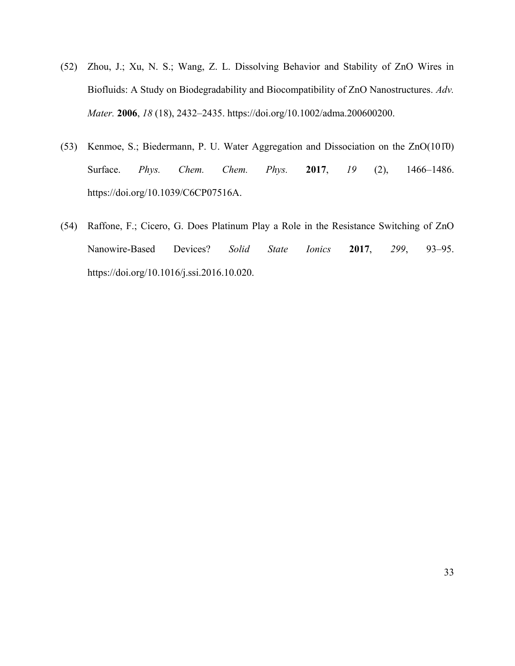- (52) Zhou, J.; Xu, N. S.; Wang, Z. L. Dissolving Behavior and Stability of ZnO Wires in Biofluids: A Study on Biodegradability and Biocompatibility of ZnO Nanostructures. *Adv. Mater.* **2006**, *18* (18), 2432–2435. https://doi.org/10.1002/adma.200600200.
- (53) Kenmoe, S.; Biedermann, P. U. Water Aggregation and Dissociation on the ZnO(101̄0) Surface. *Phys. Chem. Chem. Phys.* **2017**, *19* (2), 1466–1486. https://doi.org/10.1039/C6CP07516A.
- (54) Raffone, F.; Cicero, G. Does Platinum Play a Role in the Resistance Switching of ZnO Nanowire-Based Devices? *Solid State Ionics* **2017**, *299*, 93–95. https://doi.org/10.1016/j.ssi.2016.10.020.